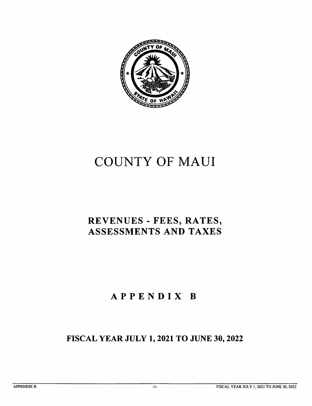

# COUNTY OF MAUI

### REVENUES - FEES, RATES, ASSESSMENTS AND TAXES

## APPENDIX B

### FISCAL YEAR JULY 1,2021 TO JUNE 30,2022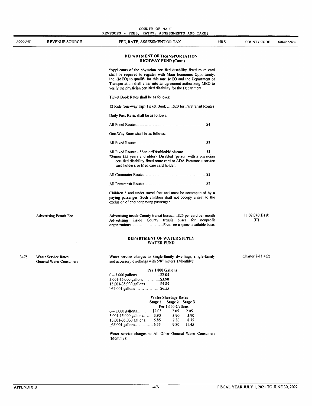#### DEPARTMENT OF WATER SUPPLY WATER FUND

| 3475 | <b>Water Service Rates</b>     |
|------|--------------------------------|
|      | <b>General Water Consumers</b> |

Water service charges to Single-family dwellings, single-family and accessory dwellings with 5/8" meters (Monthly):

Charter 8-11.4(2)

#### Per 1,000 Gallons

| 5,001-15,000 gallons\$3.90   |  |
|------------------------------|--|
|                              |  |
| $\geq$ 35,001 gallons \$6.55 |  |

|                                  | <b>Water Shortage Rates</b> |       |
|----------------------------------|-----------------------------|-------|
|                                  | Stage 1 Stage 2 Stage 3     |       |
|                                  | Per 1,000 Gallons           |       |
| $0 - 5.000$ gallons\$2.05        | 2.05                        | 2.05  |
| $5,001-15,000$ gallons 3.90      | 3.90                        | 3.90  |
| $15,001 - 35,000$ gallons $5.85$ | 7.30                        | 8.75  |
|                                  | 9.80                        | 11.45 |
|                                  |                             |       |

Water service charges to All Other General Water Consumers (Monthly):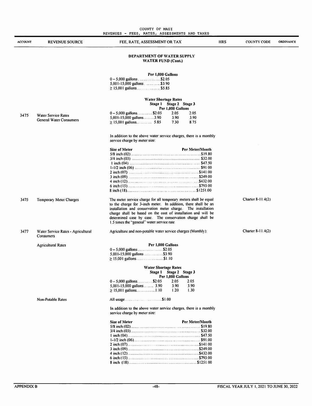|         | COUNTY OF MAUI<br>REVENUES - FEES, RATES, ASSESSMENTS AND TAXES |                                                                                                                                                                                                                                                                                                                                                                                 |            |                    |                  |  |  |
|---------|-----------------------------------------------------------------|---------------------------------------------------------------------------------------------------------------------------------------------------------------------------------------------------------------------------------------------------------------------------------------------------------------------------------------------------------------------------------|------------|--------------------|------------------|--|--|
| ACCOUNT | REVENUE SOURCE                                                  | FEE, RATE, ASSESSMENT OR TAX                                                                                                                                                                                                                                                                                                                                                    | <b>HRS</b> | <b>COUNTY CODE</b> | <b>ORDINANCE</b> |  |  |
|         |                                                                 | DEPARTMENT OF WATER SUPPLY<br><b>WATER FUND (Cont.)</b>                                                                                                                                                                                                                                                                                                                         |            |                    |                  |  |  |
|         |                                                                 | Per 1,000 Gallons                                                                                                                                                                                                                                                                                                                                                               |            |                    |                  |  |  |
|         |                                                                 | 5,001-15,000 gallons \$3.90<br>$\geq$ 15,001 gallons    \$5.85                                                                                                                                                                                                                                                                                                                  |            |                    |                  |  |  |
|         |                                                                 | Water Shortage Rates<br>Stage 1 Stage 2 Stage 3<br>Per 1,000 Gallons                                                                                                                                                                                                                                                                                                            |            |                    |                  |  |  |
| 3475    | Water Service Rates<br><b>General Water Consumers</b>           | $0 - 5,000$ gallons\$2.05<br>2.05<br>2.05<br>5,001-15,000 gallons3.90<br>3.90<br>3.90<br>8.75<br>7.30                                                                                                                                                                                                                                                                           |            |                    |                  |  |  |
|         |                                                                 | In addition to the above water service charges, there is a monthly<br>service charge by meter size:                                                                                                                                                                                                                                                                             |            |                    |                  |  |  |
|         |                                                                 | Per Meter/Month<br>Size of Meter                                                                                                                                                                                                                                                                                                                                                |            |                    |                  |  |  |
| 3475    | Temporary Meter Charges                                         | The meter service charge for all temporary meters shall be equal<br>to the charge for 3-inch meter. In addition, there shall be an<br>installation and conservation meter charge. The installation<br>charge shall be based on the cost of installation and will be<br>determined case by case. The conservation charge shall be<br>1.5 times the "general" water service rate. |            | Charter 8-11.4(2)  |                  |  |  |
| 3477    | Water Service Rates - Agricultural<br>Consumers                 | Agriculture and non-potable water service charges (Monthly):                                                                                                                                                                                                                                                                                                                    |            | Charter 8-11.4(2)  |                  |  |  |
|         | <b>Agricultural Rates</b>                                       | Per 1,000 Gallons<br>5,001-15,000 gallons     \$3.90<br>$\geq$ 15,001 gallons\$1.10                                                                                                                                                                                                                                                                                             |            |                    |                  |  |  |
|         |                                                                 | <b>Water Shortage Rates</b><br>Stage 1 Stage 2 Stage 3<br>Per 1,000 Gallons                                                                                                                                                                                                                                                                                                     |            |                    |                  |  |  |
|         |                                                                 | $0 - 5,000$ gallons\$2.05<br>2.05<br>2.05<br>3.90<br>3.90<br>5,001-15,000 gallons 3.90<br>1.20<br>1.30                                                                                                                                                                                                                                                                          |            |                    |                  |  |  |
|         | <b>Non-Potable Rates</b>                                        |                                                                                                                                                                                                                                                                                                                                                                                 |            |                    |                  |  |  |
|         |                                                                 | In addition to the above water service charges, there is a monthly<br>service charge by meter size:                                                                                                                                                                                                                                                                             |            |                    |                  |  |  |
|         |                                                                 | Per Meter/Month<br>Size of Meter                                                                                                                                                                                                                                                                                                                                                |            |                    |                  |  |  |
|         |                                                                 |                                                                                                                                                                                                                                                                                                                                                                                 |            |                    |                  |  |  |
|         |                                                                 |                                                                                                                                                                                                                                                                                                                                                                                 |            |                    |                  |  |  |
|         |                                                                 |                                                                                                                                                                                                                                                                                                                                                                                 |            |                    |                  |  |  |
|         |                                                                 |                                                                                                                                                                                                                                                                                                                                                                                 |            |                    |                  |  |  |
|         |                                                                 |                                                                                                                                                                                                                                                                                                                                                                                 |            |                    |                  |  |  |
|         |                                                                 |                                                                                                                                                                                                                                                                                                                                                                                 |            |                    |                  |  |  |
|         |                                                                 |                                                                                                                                                                                                                                                                                                                                                                                 |            |                    |                  |  |  |

 $\blacksquare$ 

L.

8 inch (18) \$1251.00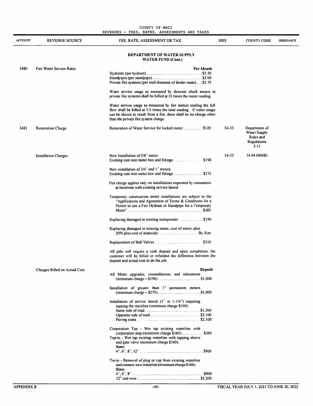|                | COUNTY OF MAUI<br>REVENUES - FEES, RATES, ASSESSMENTS AND TAXES |                                                                                                                                                                                                                                                      |            |                                                                          |                  |  |  |
|----------------|-----------------------------------------------------------------|------------------------------------------------------------------------------------------------------------------------------------------------------------------------------------------------------------------------------------------------------|------------|--------------------------------------------------------------------------|------------------|--|--|
| <b>ACCOUNT</b> | <b>REVENUE SOURCE</b>                                           | FEE, RATE, ASSESSMENT OR TAX                                                                                                                                                                                                                         | <b>HRS</b> | <b>COUNTY CODE</b>                                                       | <b>ORDINANCE</b> |  |  |
|                |                                                                 | <b>DEPARTMENT OF WATER SUPPLY</b><br><b>WATER FUND (Cont.)</b>                                                                                                                                                                                       |            |                                                                          |                  |  |  |
| 3480           | <b>Fire Water Service Rates</b>                                 | Per Month<br>Private fire systems (per inch diameter of feeder main)\$2.75                                                                                                                                                                           |            |                                                                          |                  |  |  |
|                |                                                                 | Water service usage as measured by detector check meters in<br>private fire systems shall be billed at 35 times the meter reading.                                                                                                                   |            |                                                                          |                  |  |  |
|                |                                                                 | Water service usage as measured by fire meters reading the full<br>flow shall be billed at 1.5 times the total reading. If water usage<br>can be shown to result from a fire, there shall be no charge other<br>than the private fire system charge. |            |                                                                          |                  |  |  |
| 3481           | <b>Restoration Charge</b>                                       | Restoration of Water Service for locked meter\$120                                                                                                                                                                                                   | 54-33      | Department of<br>Water Supply<br>Rules and<br><b>Regulations</b><br>3-11 |                  |  |  |
|                | <b>Installation Charges</b>                                     | New Installation of 5/8" meter:                                                                                                                                                                                                                      | 54-33      | 14.04.040(B)                                                             |                  |  |  |
|                |                                                                 | New installation of 3/4" and 1" meters:<br>Existing cast iron meter box and fittings \$275                                                                                                                                                           |            |                                                                          |                  |  |  |
|                |                                                                 | Flat charge applies only on installations requested by consumers<br>at locations with existing service lateral                                                                                                                                       |            |                                                                          |                  |  |  |
|                |                                                                 | Temporary construction meter installations are subject to the<br>"Applications and Agreement of Terms & Conditions for a<br>Permit to use a Fire Hydrant or Standpipe for a Temporary                                                                |            |                                                                          |                  |  |  |
|                |                                                                 |                                                                                                                                                                                                                                                      |            |                                                                          |                  |  |  |
|                |                                                                 | Replacing damaged or missing meter, cost of meter, plus                                                                                                                                                                                              |            |                                                                          |                  |  |  |
|                |                                                                 |                                                                                                                                                                                                                                                      |            |                                                                          |                  |  |  |
|                |                                                                 | All jobs will require a cash deposit and upon completion, the<br>customer will be billed or refunded the difference between the<br>deposit and actual cost to do the job.                                                                            |            |                                                                          |                  |  |  |
|                | Charges Billed on Actual Cost                                   | Deposit                                                                                                                                                                                                                                              |            |                                                                          |                  |  |  |
|                |                                                                 | All Meter upgrades, reinstallations, and relocations                                                                                                                                                                                                 |            |                                                                          |                  |  |  |
|                |                                                                 | Installation of greater than 1" permanent meters                                                                                                                                                                                                     |            |                                                                          |                  |  |  |
|                |                                                                 | Installation of service lateral (1" or 1-1/4") requiring<br>tapping the mainline (minimum charge \$160):                                                                                                                                             |            |                                                                          |                  |  |  |
|                |                                                                 | Corporation Tap - Wet tap existing waterline with                                                                                                                                                                                                    |            |                                                                          |                  |  |  |
|                |                                                                 | Tap-in - Wet tap existing waterline with tapping sleeve<br>and gate valve (minimum charge \$160):                                                                                                                                                    |            |                                                                          |                  |  |  |
|                |                                                                 | <b>Sizes</b>                                                                                                                                                                                                                                         |            |                                                                          |                  |  |  |
|                |                                                                 | Tie-in - Removal of plug or cap from existing waterline<br>and connect new waterline (minimum charge \$160):<br><b>Sizes</b>                                                                                                                         |            |                                                                          |                  |  |  |
|                |                                                                 |                                                                                                                                                                                                                                                      |            |                                                                          |                  |  |  |

12" and over \$1,200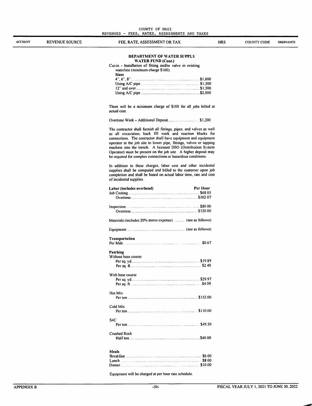|  | COUNTY OF MAUI |                                               |  |
|--|----------------|-----------------------------------------------|--|
|  |                | REVENUES - FEES, RATES, ASSESSMENTS AND TAXES |  |

| <b>ACCOUNT</b> | <b>REVENUE SOURCE</b> | FEE, RATE, ASSESSMENT OR TAX<br><b>HRS</b>                                                                                                                                                                                                                                                                                         | <b>COUNTY CODE</b> | ORDINANCE |
|----------------|-----------------------|------------------------------------------------------------------------------------------------------------------------------------------------------------------------------------------------------------------------------------------------------------------------------------------------------------------------------------|--------------------|-----------|
|                |                       | DEPARTMENT OF WATER SUPPLY                                                                                                                                                                                                                                                                                                         |                    |           |
|                |                       | WATER FUND (Cont.)                                                                                                                                                                                                                                                                                                                 |                    |           |
|                |                       | Cut-in - Installation of fitting and/or valve in existing<br>waterline (minimum charge \$160):                                                                                                                                                                                                                                     |                    |           |
|                |                       | <b>Sizes</b>                                                                                                                                                                                                                                                                                                                       |                    |           |
|                |                       |                                                                                                                                                                                                                                                                                                                                    |                    |           |
|                |                       | Using $A/C$ pipe $\ldots$ $\ldots$ $\ldots$ $\ldots$ $\ldots$ $\ldots$ $\ldots$ $\ldots$ $\ldots$ $\ldots$ $\ldots$ $\ldots$ $\ldots$ $\ldots$ $\ldots$ $\ldots$ $\ldots$ $\ldots$ $\ldots$ $\ldots$ $\ldots$ $\ldots$ $\ldots$ $\ldots$ $\ldots$ $\ldots$ $\ldots$ $\ldots$ $\ldots$ $\ldots$ $\ldots$ $\ldots$ $\ldots$ $\ldots$ |                    |           |
|                |                       |                                                                                                                                                                                                                                                                                                                                    |                    |           |
|                |                       |                                                                                                                                                                                                                                                                                                                                    |                    |           |
|                |                       | There will be a minimum charge of \$100 for all jobs billed at                                                                                                                                                                                                                                                                     |                    |           |
|                |                       | actual cost.                                                                                                                                                                                                                                                                                                                       |                    |           |
|                |                       |                                                                                                                                                                                                                                                                                                                                    |                    |           |
|                |                       | The contractor shall furnish all fittings, pipes, and valves as well                                                                                                                                                                                                                                                               |                    |           |
|                |                       | as all excavation, back fill work and reaction blocks for<br>connections. The contractor shall have equipment and equipment                                                                                                                                                                                                        |                    |           |
|                |                       | operator at the job site to lower pipe, fittings, valves or tapping                                                                                                                                                                                                                                                                |                    |           |
|                |                       | machine into the trench. A licensed DSO (Distribution System                                                                                                                                                                                                                                                                       |                    |           |
|                |                       | Operator) must be present on the job site. A higher deposit may                                                                                                                                                                                                                                                                    |                    |           |
|                |                       | be required for complex connections or hazardous conditions.                                                                                                                                                                                                                                                                       |                    |           |
|                |                       | In addition to these charges, labor cost and other incidental                                                                                                                                                                                                                                                                      |                    |           |
|                |                       | supplies shall be computed and billed to the customer upon job                                                                                                                                                                                                                                                                     |                    |           |
|                |                       | completion and shall be based on actual labor time, rate and cost                                                                                                                                                                                                                                                                  |                    |           |
|                |                       | of incidental supplies.                                                                                                                                                                                                                                                                                                            |                    |           |
|                |                       | Per Hour<br>Labor (includes overhead)                                                                                                                                                                                                                                                                                              |                    |           |
|                |                       |                                                                                                                                                                                                                                                                                                                                    |                    |           |
|                |                       |                                                                                                                                                                                                                                                                                                                                    |                    |           |
|                |                       | Inspection S80.00                                                                                                                                                                                                                                                                                                                  |                    |           |
|                |                       |                                                                                                                                                                                                                                                                                                                                    |                    |           |
|                |                       | Materials (includes 20% stores expense)  (see as follows)                                                                                                                                                                                                                                                                          |                    |           |
|                |                       |                                                                                                                                                                                                                                                                                                                                    |                    |           |
|                |                       | <b>Transportation</b>                                                                                                                                                                                                                                                                                                              |                    |           |
|                |                       | \$0.67                                                                                                                                                                                                                                                                                                                             |                    |           |
|                |                       | Patching                                                                                                                                                                                                                                                                                                                           |                    |           |
|                |                       | Without base course                                                                                                                                                                                                                                                                                                                |                    |           |
|                |                       |                                                                                                                                                                                                                                                                                                                                    |                    |           |
|                |                       | With base course                                                                                                                                                                                                                                                                                                                   |                    |           |
|                |                       |                                                                                                                                                                                                                                                                                                                                    |                    |           |
|                |                       |                                                                                                                                                                                                                                                                                                                                    |                    |           |
|                |                       | Hot Mix                                                                                                                                                                                                                                                                                                                            |                    |           |
|                |                       |                                                                                                                                                                                                                                                                                                                                    |                    |           |
|                |                       | Cold Mix                                                                                                                                                                                                                                                                                                                           |                    |           |
|                |                       |                                                                                                                                                                                                                                                                                                                                    |                    |           |
|                |                       | S <sub>4</sub> C                                                                                                                                                                                                                                                                                                                   |                    |           |
|                |                       |                                                                                                                                                                                                                                                                                                                                    |                    |           |
|                |                       | Crushed Rock                                                                                                                                                                                                                                                                                                                       |                    |           |
|                |                       |                                                                                                                                                                                                                                                                                                                                    |                    |           |
|                |                       |                                                                                                                                                                                                                                                                                                                                    |                    |           |
|                |                       | Meals                                                                                                                                                                                                                                                                                                                              |                    |           |
|                |                       | Lunch \$8.00                                                                                                                                                                                                                                                                                                                       |                    |           |
|                |                       |                                                                                                                                                                                                                                                                                                                                    |                    |           |
|                |                       |                                                                                                                                                                                                                                                                                                                                    |                    |           |

Equipment will be charged at per hour rate schedule.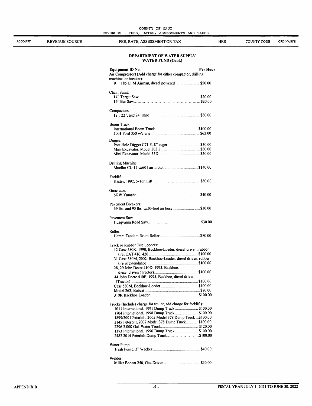**ACCOUNT** 

REVENUE SOURCE FEE, RATE, ASSESSMENT OR TAX HRS COUNTY CODE

ORDINANCE

#### DEPARTMENT OF WATER SUPPLY WATER FUND (Cont.)

| <b>Equipment ID No.</b><br>Air Compressors (Add charge for either compactor, drilling      | Per Hour |
|--------------------------------------------------------------------------------------------|----------|
| machine, or breaker):<br>9                                                                 |          |
| Chain Saws:                                                                                |          |
|                                                                                            |          |
|                                                                                            |          |
| Compactors:                                                                                |          |
| Boom Truck:                                                                                |          |
|                                                                                            |          |
|                                                                                            |          |
| Digger:                                                                                    |          |
|                                                                                            |          |
|                                                                                            |          |
| Drilling Machine:                                                                          |          |
|                                                                                            |          |
| Forklift:                                                                                  |          |
|                                                                                            |          |
| Generator:                                                                                 |          |
|                                                                                            |          |
| <b>Pavement Breakers:</b>                                                                  |          |
| 69 lbs. and 95 lbs. w/50-foot air hose \$30.00                                             |          |
| Pavement Saw:                                                                              |          |
|                                                                                            |          |
| Roller:                                                                                    |          |
|                                                                                            |          |
| Track or Rubber Tire Loaders:<br>12 Case 580K, 1990, Backhoe-Loader, diesel driven, rubber |          |
|                                                                                            |          |
| 31 Case 580M, 2002, Backhoe-Loader, diesel driven, rubber                                  |          |
|                                                                                            |          |
| 28, 29 John Deere 410D, 1993, Backhoe,                                                     |          |
| 44 John Deere 410E, 1995, Backhoe, diesel driven                                           |          |
|                                                                                            |          |
|                                                                                            |          |
|                                                                                            |          |
|                                                                                            |          |
| Trucks (Includes charge for trailer, add charge for forklift):                             |          |
| 1011 International, 1991 Dump Truck  \$100.00                                              |          |
| 1704 International, 1998 Dump Truck  \$100.00                                              |          |
| 1899/2001 Peterbilt, 2005 Model 378 Dump Truck  \$100.00                                   |          |
| 2145 Peterbilt, 2007 Model 378 Dump Truck \$100.00                                         |          |
|                                                                                            |          |
| 1373 International, 1990 Dump Truck  \$100.00                                              |          |
|                                                                                            |          |
| Water Pump                                                                                 |          |
|                                                                                            |          |
| Welder:                                                                                    |          |
|                                                                                            |          |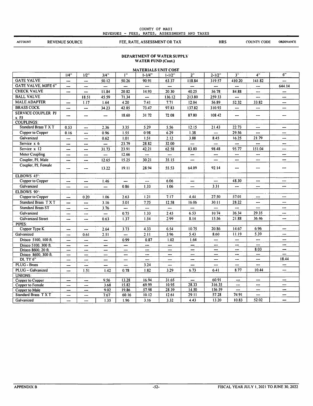#### COUNTY OF MAUI REVENUES - FEES, RATES, ASSESSMENTS AND TAXES

**ACCOUNT** 

REVENUE SOURCE FEE, RATE, ASSESSMENT OR TAX HRS COUNTY CODE

**ORDINANCE** 

#### DEPARTMENT OF WATER SUPPLY WATER FUND (Cont.)

| <b>MATERIALS UNIT COST</b>                       |           |            |              |                |                |                |                                   |                 |                |                          |                          |
|--------------------------------------------------|-----------|------------|--------------|----------------|----------------|----------------|-----------------------------------|-----------------|----------------|--------------------------|--------------------------|
|                                                  | 1/4"      | $1/2$ "    | $3/4$ "      | 1"             | $1 - 1/4$ "    | $1 - 1/2"$     | 2"                                | $2 - 1/2"$      | 3"             | 4"                       | 6"                       |
| <b>GATE VALVE</b>                                | ---       | ---        | 50.12        | 50.26          | 90.91          | 63.37          | 118.84                            | 319.57          | 410.20         | 141.82                   |                          |
| <b>GATE VALVE, MJFE 6"</b>                       | ---       | ---        | ---          | ---            | ---            | ---            | $\overline{\phantom{a}}$          | ---             |                | ---                      | 644.14                   |
| <b>CHECK VALVE</b>                               |           |            | 11.84        | 20.82          | 14.93          | 20.30          | 40.25                             | 56.78           | 84.88          | ---                      | ---                      |
| <b>BALL VALVE</b>                                |           | 18.51      | 45.59        | 71.34          | ---            | 136.12         | 213.80                            | 259.33          | ---            | ---                      | ---                      |
| <b>MALE ADAPTER</b>                              | ---       | 1.17       | 1.64         | 4.20           | 7.41           | 7.71           | 12.04                             | 56.89           | 52.32          | 33.82                    | ---                      |
| <b>BRASS COCK</b>                                | ---       |            | 34.23        | 42.85          | 73.47          | 97.83          | 137.82                            | 310.93          |                |                          | ---                      |
| <b>SERVICE COUPLER PJ</b>                        |           |            |              | 18.60          | 31.72          | 72.08          | 87.80                             | 108.42          | ---            | ---                      | --                       |
| $x$ $P$ J                                        |           |            | ---          |                |                |                |                                   |                 |                |                          |                          |
| <b>COUPLINGS:</b>                                |           |            |              |                |                |                |                                   |                 |                |                          |                          |
| Standard Brass T X T                             | 0.53      | ---        | 2.36         | 3.35           | 5.29           | 5.56           | 12.15                             | 21.43           | 22.73          | $\overline{\phantom{a}}$ | ---                      |
| Copper to Copper                                 | 0.16      | ---        | 0.96         | 1.55           | 0.98           | 6.29           | 1.38                              | ---             | 29.56          |                          | ---                      |
| Galvanized                                       | ---       | ---        | 0.62         | 1.01           | 1.51           | 2.12           | 3.88                              | 8.45            | 16.25          | 21.79                    | ---                      |
| Service x 6                                      |           |            |              | 23.79          | 28.82          | 32.00          | $\overline{a}$                    | ---             | ---            | ---                      | ---                      |
| Service x 12                                     | ---       | $\ddotsc$  | 31.73        | 23.91          | 42.21          | 62.58          | 83.80                             | 98.48           | 95.77          | 151.04                   | ---                      |
| <b>Meter Coupling</b>                            | ---       |            | ---          | 12.66          |                | ---            | ---                               |                 | ---            | ---                      |                          |
| Coupler, PJ, Male                                | ---       | ---        | 12.65        | 15.25          | 30.21          | 35.15          | ---                               | ---             | ---            | ---                      |                          |
| Coupler, PJ, Female                              | ---       |            | 13.22        | 19.11          | 28.94          | 55.53          | 64.09                             | 92.14           |                | ---                      |                          |
| ELBOWS 45°                                       |           |            |              |                |                |                |                                   |                 |                |                          |                          |
| Copper to Copper                                 | ---       | ---        | 1.46         |                | ---            | 6.06           | ---                               | ---             | 48.30          | ---                      | ---                      |
| Galvanized                                       | ---       | ---        | ---          | 0.86           | 1.33           | 1.06           | ---                               | 3.31            | ---            | ---                      |                          |
| ELBOWS 90°:                                      |           |            |              |                |                |                |                                   |                 |                |                          |                          |
| Copper to Copper                                 | ---       | 0.20       | 1.06         | 2.63           | 1.21           | 7.17           | 4.44                              | 27.50           | 57.01          | $\overline{\phantom{a}}$ | $\overline{a}$           |
| Standard Brass T X T                             | ---       |            | 3.16         | 5.01           | 7.75           | 12.58          | 16.06                             | 30.11           | 28.22          | ---                      | ---                      |
| <b>Standard Brass ST</b>                         | ---       | ---        | 3.76         |                | ---            |                | ---                               | ---             | ---            | ---                      | $\overline{\phantom{a}}$ |
| Galvanized                                       | ---       | ---        | ---          | 0.75           | 1.33           | 2.45           | 6.53                              | 10.74           | 26.34          | 29.35                    | ---                      |
| <b>Galvanized Street</b>                         | ---       |            | 0.63         | 1.37           | 1.54           | 2.99           | 8.14                              | 15.56           | 21.88          | 36.46                    |                          |
| PIPES:                                           |           |            |              |                |                |                |                                   |                 |                |                          |                          |
| Copper Type K                                    | ---       |            | 2.64         | 3.73           | 4.33           | 6.54           | 10.75                             | 20.86           | 14.67          | 6.96                     |                          |
| Galvanized                                       | ---       | 0.61       | 2.51         | ---            | 2.11           | 3.96           | 5.43                              | 8.60            | 11.19          | 5.39                     |                          |
| Drisco 5100, 100 ft.                             | ---       | ---        | ---          | 0.99           | 0.87           | 1.02           | 1.64                              | ---             | ---            | ---                      | ---                      |
| Drisco 5100, 300 ft.                             | ---       | ---        | ---          | ---            | ---            | ---            |                                   | ---             | ---            | ---                      | ---                      |
| Drisco 8600, 20 ft.                              |           | ---        | ---          | $\overline{a}$ | ---            | ---            | ---                               | ---             | $\overline{a}$ | 8.03                     | ---                      |
| Drisco 8600, 300 ft.                             | ---       | ---        | ---          | ---            | ---            |                | $\overline{\phantom{a}}$          | ---             | ---            | ---                      | ---                      |
| <b>DI. TY 6"</b>                                 | ---       | ---        | ---          | ---            | ---            | ---            | ---                               | ---             | ---            | ---                      | 18.44                    |
| PLUG - Brass                                     | ---       | ---        | ---          | ---            | 3.24           | ---            | $\overline{\phantom{a}}$          | ---             | ---            | ---                      | ---                      |
| PLUG - Galvanized                                | --        | 1.51       | 1.42         | 0.78           | 1.82           | 3.29           | 6.73                              | 6.41            | 8.77           | 10.44                    | ---                      |
| <b>UNIONS:</b>                                   |           |            |              |                |                |                |                                   |                 |                |                          |                          |
| Copper to Copper                                 | $\cdots$  | ---        | 9.56         | 13.28<br>15.82 | 16.94<br>69.99 | 31.65<br>10.95 | $\overline{\phantom{a}}$<br>28.33 | 60.91<br>316.35 | ---            | ---<br>---               | ---<br>---               |
| <b>Copper to Female</b><br><b>Copper to Male</b> | ---       | ---        | 3.68<br>9.02 | 19.86          | 57.98          | 28.39          | 14.50                             | 156.59          | ---            | ---                      | ---                      |
| Standard Brass TXT                               | ---<br>-- | ---<br>--- | 7.67         | 60.16          | 10.12          | 12.61          | 29.11                             | 57.28           | 74.91          | ---                      |                          |
| Galvanized                                       |           |            | 1.35         | 1.96           | 3.16           | 3.32           | 4.43                              | 13.20           | 10.83          | 52.02                    | ---                      |
|                                                  | ---       | ---        |              |                |                |                |                                   |                 |                |                          |                          |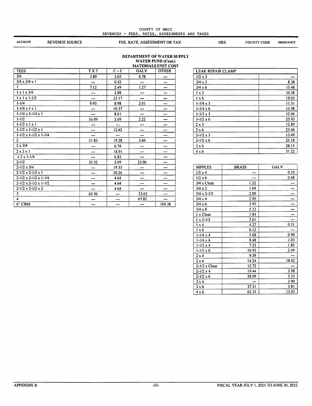|                |                       | COUNTY OF MAUI<br>REVENUES - FEES, RATES, ASSESSMENTS AND TAXES |     |                    |                  |
|----------------|-----------------------|-----------------------------------------------------------------|-----|--------------------|------------------|
| <b>ACCOUNT</b> | <b>REVENUE SOURCE</b> | FEE, RATE, ASSESSMENT OR TAX                                    | HRS | <b>COUNTY CODE</b> | <b>ORDINANCE</b> |

#### DEPARTMENT OF WATER SUPPL^' WATER FUND (Cont.)

|                                         |            |                        |           | <b>MATERIALS UNIT COST</b> |
|-----------------------------------------|------------|------------------------|-----------|----------------------------|
| <b>TEES</b>                             | <b>TXT</b> | $C - C$                | GALV.     | <b>OTHER</b>               |
| 3/4                                     | 3.89       | 3.05                   | 0.78      | ---                        |
| $3/4 \times 3/4 \times 1$               | ---        | 0.42                   | ---       | ---                        |
| 1                                       | 7.12       | 2.49                   | 1.27      | ---                        |
| $1 \times 1 \times 3/4$                 | ---        | 2.88                   | ---       | ---                        |
| $1 \times 1 \times 1 - 1/2$             | --         | 23.17                  | ---       | ---                        |
| $1 - 1/4$                               | 9.93       | 8.98                   | 2.01      | ---                        |
| $1 - 1/4 \times 1 \times 1$             |            | 10.37                  |           | ---                        |
| $1-1/4 \times 1-1/4 \times 1$           | ---        | 8.61                   | ---       | ---                        |
| $1 - 1/2$                               | 16.09      | 2.69                   | 2.22      | ---                        |
| $1 - 1/2 \times 1 \times 1$             | ---        | $\qquad \qquad \cdots$ | ---       | ---                        |
| $1 - 1/2 \times 1 - 1/2 \times 1$       | ---        | 12.62                  | ---       | ---                        |
| $1 - 1/2 \times 1 - 1/2 \times 1 - 1/4$ | ---        | ---                    | ---       | ---                        |
| $\overline{2}$                          | 21.85      | 19.28                  | 3.60      | ---                        |
| $2 \times 3/4$                          | ---        | 6.74                   | ---       | $-$                        |
| $2 \times 2 \times 1$                   | ---        | 18.91                  | $---$     | $---$                      |
| $x 2x 1-1/4$                            |            | 6.83                   | ---       | ---                        |
| $2 - 1/2$                               | 35.52      | 2.69                   | 23.06     | ---                        |
| $2 - 1/2 \times 3/4$                    | ---        | 19.33                  |           | ---                        |
| $2-1/2 \times 2-1/2 \times 1$           | ---        | 20.26                  | ---       | ---                        |
| $2-1/2 \times 2-1/2 \times 1-1/4$       | ---        | 4.64                   |           | ---                        |
| $2-1/2 \times 2-1/2 \times 1-1/2$       | ---        | 4.64                   | ---       | ---                        |
| $2 - 1/2 \times 2 - 1/2 \times 2$       | ---        | 4.64                   | $\bullet$ | ---                        |
| 3                                       | 62.50      | ---                    | 23.62     | ---                        |
| 4                                       | ---        | ---                    | 67.82     | ---                        |
| 6" CIMJ                                 | ---        | ---                    | ---       | 104.38                     |

| <b>LEAK REPAIR CLAMP</b> |       |
|--------------------------|-------|
| $1/2 \times 3$           |       |
| $3/4 \times 3$           | 8.38  |
| $3/4 \times 6$           | 15.48 |
| $1 \times 3$             | 10.58 |
| $1 \times 6$             | 19.03 |
| $1 - 1/4 \times 3$       | 11.31 |
| $1 - 1/4 \times 6$       | 13.98 |
| $1 - 1/2 \times 3$       | 12.06 |
| $1 - 1/2 \times 6$       | 25.93 |
| $2 \times 3$             | 12.89 |
| 2 × 6                    | 23.46 |
| $2 - 1/2 \times 3$       | 13.49 |
| $2 - 1/2 \times 6$       | 25.18 |
| $3 \times 6$             | 28.15 |
| $4 \times 6$             | 31.22 |

| <b>NIPPLES</b>       | <b>BRASS</b> | GALV. |
|----------------------|--------------|-------|
| $1/2 \times 4$       | ---          | 0.33  |
| $1/2 \times 6$       | ---          | 0.48  |
| 3/4 x Close          | 1.22         |       |
| $3/4 \times 2$       | 1.69         | ---   |
| $3/4 \times 2 - 1/2$ | 2.00         |       |
| $3/4 \times 4$       | 2.95         |       |
| $3/4 \times 6$       | 3.95         |       |
| $3/4 \times 8$       | 5.22         |       |
| 1 x Close            | 1.84         |       |
| $1 \times 2 - 1/2$   | 2.61         |       |
| $1 \times 4$         | 4.27         | 0.51  |
| $1 \times 6$         | 6.12         |       |
| $1 - 1/4 \times 4$   | 5.68         | 0.90  |
| $1 - 1/4 \times 6$   | 8.48         | 1.03  |
| $1 - 1/2 \times 4$   | 7.25         | 1.82  |
| $1 - 1/2 \times 6$   | 10.93        | 2.49  |
| $2 \times 4$         | 9.59         |       |
| 2 × 6                | 14.24        | 18.42 |
| $2-1/2 \times$ Close | 12.72        | ---   |
| $2 - 1/2 \times 4$   | 19.44        | 3.98  |
| $2 - 1/2 \times 6$   | 28.09        | 5.33  |
| $3 \times 4$         | ---          | 3.90  |
| 3 × 6                | 37.51        | 3.81  |
| 4 x 6                | 63.15        | 13.03 |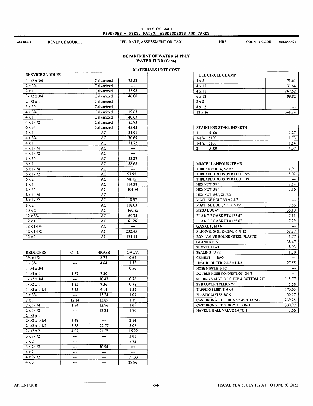#### COUNTY OF MAUI REVENUES - FEES, RATES, ASSESSMENTS AND TAXES

**ACCOUNT** 

REVENUE SOURCE FEE, RATE, ASSESSMENT OR TAX HRS COUNTY CODE ORDINANCE

#### DEPARTMENT OF WATER SUPPLY' WATER FUND (Cont.)

#### MATERIALS UNIT COST

|                        |                 | MATER  |
|------------------------|-----------------|--------|
| <b>SERVICE SADDLES</b> |                 |        |
| $1 - 1/2 \times 3/4$   | Galvanized      | 75.52  |
| $2 \times 3/4$         | Galvanized      | ---    |
| $2 \times 1$           | Galvanized      | 55.98  |
| $2 - 1/2 \times 3/4$   | Galvanized      | 46.00  |
| $2 - 1/2 \times 1$     | Galvanized      |        |
| $3 \times 3/4$         | Galvanized      |        |
| $4 \times 3/4$         | Galvanized      | 19.63  |
| $4 \times 1$           | Galvanized      | 40.63  |
| $4 \times 1 - 1/2$     | Galvanized      | 85.93  |
| $6 \times 3/4$         | Galvanized      | 43.43  |
| $3 \times 1$           | AC              | 21.91  |
| $4 \times 3/4$         | AC              | 70.69  |
| $4 \times 1$           | $\overline{AC}$ | 71.72  |
| $4 \times 1 - 1/4$     | AC              | ---    |
| $4 \times 1 - 1/2$     | AC              | ---    |
| $6 \times 3/4$         | AC              | 83.27  |
| 6x1                    | AC              | 88.68  |
| $6 \times 1 - 1/4$     | AC              | ---    |
| $6 \times 1 - 1/2$     | AC              | 97.95  |
| 6x2                    | AC              | 98.15  |
| $8 \times 1$           | AC              | 114.38 |
| $8 \times 3/4$         | AC              | 104.84 |
| $8 \times 1 - 1/4$     | AC              | ---    |
| $8 \times 1 - 1/2$     | AC              | 110.97 |
| $8 \times 2$           | AC              | 118.03 |
| $10 \times 2$          | AC              | 160.85 |
| $12 \times 3/4$        | AC              | 69.74  |
| $12 \times 1$          | AC              | 161.26 |
| $12 \times 1 - 1/4$    | AC              |        |
| $12 \times 1 - 1/2$    | AC              | 232.43 |
| $12 \times 2$          | AC              | 171.13 |

| <b>REDUCERS</b>          | $C - C$ | <b>BRASS</b> | GALV. |
|--------------------------|---------|--------------|-------|
| $3/4 \times 1/2$         |         | 2.77         | 0.65  |
| $1 \times 3/4$           |         | 4.64         | 1.33  |
| $1 - 1/4 \times 3/4$     | ---     |              | 0.56  |
| $1 - 1/4 \times 1$       | 1.87    | 7.30         | ---   |
| $1 - 1/2 \times 3/4$     |         | 10.47        | 0.76  |
| $1 - 1/2 \times 1$       | 1.23    | 9.36         | 0.77  |
| $1 - 1/2 \times 1 - 1/4$ | 6.55    | 9.14         | 1.37  |
| $2 \times 3/4$           | ---     | 13.24        | 1.09  |
| $2 \times 1$             | 12.14   | 13.85        | 1.10  |
| $2 \times 1 - 1/4$       | 1.74    | 12.96        | 1.09  |
| $2 \times 1 - 1/2$       |         | 13.23        | 1.96  |
| $2 - 1/2 \times 1$       |         |              | ---   |
| $2 - 1/2 \times 1 - 1/4$ | 3.49    | ---          | 2.14  |
| $2-1/2 \times 1-1/2$     | 3.88    | 22.77        | 5.08  |
| $2 - 1/2 \times 2$       | 4.02    | 21.78        | 15.22 |
| $3 \times 1 - 1/2$       | ---     | ---          | 3.03  |
| $3 \times 2$             |         |              | 7.72  |
| $3 \times 2 - 1/2$       |         | 30.94        | ---   |
| $4 \times 2$             |         |              | ---   |
| $4 \times 2 - 1/2$       |         |              | 21.33 |
| $4 \times 3$             | ---     | ---          | 28.86 |

| <b>FULL CIRCLE CLAMP</b> |        |
|--------------------------|--------|
| $4 \times 8$             | 73.61  |
| $4 \times 12$            | 131.64 |
| $4 \times 15$            | 267.52 |
| $6 \times 12$            | 99.82  |
| $8 \times 8$             |        |
| $8 \times 12$            |        |
| $12 \times 16$           | 348.24 |

|           | <b>STAINLESS STEEL INSERTS</b> |      |
|-----------|--------------------------------|------|
|           | 5100                           | 1.27 |
| $1 - 1/4$ | 5100                           | 1.7. |
| $1 - 1/2$ | 5100                           | 1.84 |
|           | 5100                           | 4.07 |

| MISCELLANEOUS ITEMS                  |        |
|--------------------------------------|--------|
| THREAD BOLTS, 5/8 x 3                | 4.01   |
| THREADED RODS (PER FOOT) 5/8         | 8.02   |
| THREADED RODS (PER FOOT) 3/4         |        |
| HEX NUT, 3/4"                        | 2.84   |
| <b>HEX NUT, 5/8"</b>                 | 3.16   |
| HEX NUT, 5/8", OILED                 |        |
| <b>MACHINE BOLT.3/4 x 2-1/2</b>      | ---    |
| <b>MACHINE BOLT, 5/8 X 2-1/2</b>     | 10.66  |
| MEGA LUG 6"                          | 36.10  |
| FLANGE GASKET #125 4"                | 7.11   |
| FLANGE GASKET #125 6"                | 7.29   |
| GASKET, MJ 6"                        | ---    |
| SLEEVE, SOLID CIMJ 6 X 12            | 59.27  |
| BOX, VALVE-ROUND GFEEN PLASTIC       | 6.77   |
| GLAND KIT 6"                         | 38.47  |
| SHOVEL.FLAT                          | 18.93  |
| <b>SEALING TAPE</b>                  | 1.30   |
| CEMENT - 1 BAG                       |        |
| HOSE REDUCER $2-1/2 \times 1-1/2$    | 27.55  |
| HOSE NIPPLE 2-1/2                    |        |
| DOUBLE HOSE CONNECTION 2-1/2         |        |
| SLIDING VALVE BOX, TOP & BOTTOM, 24" | 115.77 |
| <b>SVB COVER TYLER 5 %"</b>          | 15.58  |
| TAPPING SLEEVE 6 x 6                 | 170.63 |
| PLASTIC METER BOX                    | 30.17  |
| CAST IRON METER BOX 5/8 & 3/4, LONG  | 239.25 |
| CAST IRON METER BOX 1, LONG          | 330.77 |
| HANDLE, BALL VALVE 3/4 TO I          | 3.66   |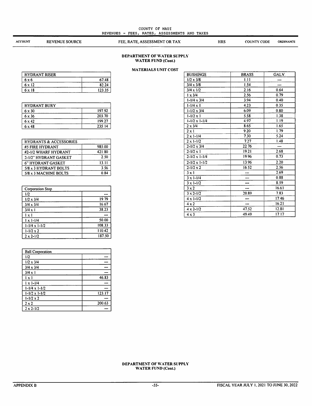#### COUNTY OF MAUI REVENUES - FEES, RATES, ASSESSMENTS AND TAXES

ACCOUNT REVENUE SOURCE FEE, RATE, ASSESSMENT OR TAX HRS COUNTY CODE

ORDINANCE

#### DEPARTMENT OF WATER SUPPLY WATER FUND (Cont.)

#### MATERIALS UNIT COST

| <b>HYDRANT RISER</b> |        |
|----------------------|--------|
| 6 x 6                | 67.48  |
| 6 x 12               | 82.24  |
| 6 x 18               | 123.35 |

| <b>HYDRANT BURY</b> |        |  |
|---------------------|--------|--|
| $6 \times 30$       | 197.92 |  |
| $6 \times 36$       | 203.70 |  |
| $6 \times 42$       | 199.27 |  |
| 6 x 48              | 235.14 |  |

| <b>HYDRANTS &amp; ACCESSORIES</b> |        |
|-----------------------------------|--------|
| #5 FIRE HYDRANT                   | 985.00 |
| #2-1/2 WHARF HYDRANT              | 421.80 |
| 2-1/2" HYDRANT GASKET             | 2.50   |
| 6" HYDRANT GASKET                 | 13.11  |
| 5/8 x 3 HYDRANT BOLTS             | 3.56   |
| 5/8 x 3 MACHINE BOLTS             | ი 84   |

| <b>Corporation Stop</b> |        |  |
|-------------------------|--------|--|
| 1/2                     |        |  |
| $1/2 \times 3/4$        | 19.79  |  |
| $3/4 \times 3/4$        | 16.67  |  |
| $3/4 \times 1$          | 38.23  |  |
| 1 x 1                   |        |  |
| $1 \times 1 - 1/4$      | 50.00  |  |
| $1-1/4 \times 1-1/2$    | 108.33 |  |
| $1 - 1/2 \times 2$      | 110.42 |  |
| $2 \times 2 - 1/2$      | 187.50 |  |

| <b>Ball Corporation</b>  |        |
|--------------------------|--------|
| 1/2                      |        |
| $1/2 \times 3/4$         |        |
| $3/4 \times 3/4$         |        |
| $3/4 \times 1$           |        |
| $1 \times 1$             | 46.83  |
| $1 \times 1 - 1/4$       |        |
| $1-1/4 \times 1-1/2$     |        |
| $1 - 1/2 \times 1 - 1/2$ | 123.17 |
| $1 - 1/2 \times 2$       |        |
| $2 \times 2$             | 200.63 |
| $2 \times 2 - 1/2$       |        |

| <b>BUSHINGS</b>          | <b>BRASS</b> | GALV. |
|--------------------------|--------------|-------|
| $1/2 \times 3/8$         | 1.11         |       |
| $3/4 \times 3/8$         | 1.54         | ---   |
| $3/4 \times 1/2$         | 216          | 0.64  |
| $1 \times 3/4$           | 2.56         | 0.79  |
| $1 - 1/4 \times 3/4$     | 3.94         | 0.40  |
| $1 - 1/4 \times 1$       | 4.23         | 0.35  |
| $1 - 1/2 \times 3/4$     | 6.09         | 0.80  |
| $1 - 1/2 \times 1$       | 5.58         | 1.38  |
| $1 - 1/2 \times 1 - 1/4$ | 4.97         | 1.19  |
| $2 \times 3/4$           | 8.65         | 1.65  |
| $2 \times 1$             | 9.20         | 1.79  |
| $2 \times 1 - 1/4$       | 7.30         | 5.24  |
| $2 \times 1 - 1/2$       | 7.27         | 1.48  |
| $2 - 1/2 \times 3/4$     | 22.76        | ---   |
| $2 - 1/2 \times 1$       | 19.21        | 2.68  |
| $2 - 1/2 \times 1 - 1/4$ | 19.96        | 0.73  |
| $2 - 1/2 \times 1 - 1/2$ | 13.96        | 2.20  |
| $2 - 1/2 \times 2$       | 16.52        | 2.56  |
| $3 \times 1$             |              | 2.69  |
| $3 \times 1 - 1/4$       | ---          | 0.88  |
| $3 \times 1 - 1/2$       |              | 8.59  |
| $3 \times 2$             | ---          | 16.61 |
| $3 \times 2 - 1/2$       | 20.89        | 7.83  |
| $4 \times 1 - 1/2$       |              | 17.46 |
| $4 \times 2$             |              | 16.21 |
| $4 \times 2 - 1/2$       | 47.52        | 12.81 |
| $4 \times 3$             | 49.49        | 17.17 |
|                          |              |       |

#### DEPARTMENT OF WATER SUPPLY WATER FUND (Cont.)